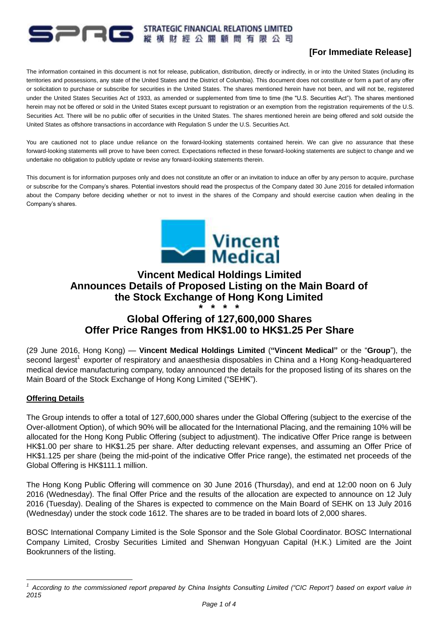# **PIRE STRATEGIC FINANCIAL RELATIONS LIMITED**

## **[For Immediate Release]**

The information contained in this document is not for release, publication, distribution, directly or indirectly, in or into the United States (including its territories and possessions, any state of the United States and the District of Columbia). This document does not constitute or form a part of any offer or solicitation to purchase or subscribe for securities in the United States. The shares mentioned herein have not been, and will not be, registered under the United States Securities Act of 1933, as amended or supplemented from time to time (the "U.S. Securities Act"). The shares mentioned herein may not be offered or sold in the United States except pursuant to registration or an exemption from the registration requirements of the U.S. Securities Act. There will be no public offer of securities in the United States. The shares mentioned herein are being offered and sold outside the United States as offshore transactions in accordance with Regulation S under the U.S. Securities Act.

You are cautioned not to place undue reliance on the forward-looking statements contained herein. We can give no assurance that these forward-looking statements will prove to have been correct. Expectations reflected in these forward-looking statements are subject to change and we undertake no obligation to publicly update or revise any forward-looking statements therein.

This document is for information purposes only and does not constitute an offer or an invitation to induce an offer by any person to acquire, purchase or subscribe for the Company's shares. Potential investors should read the prospectus of the Company dated 30 June 2016 for detailed information about the Company before deciding whether or not to invest in the shares of the Company and should exercise caution when dealing in the Company's shares.



### **Vincent Medical Holdings Limited Announces Details of Proposed Listing on the Main Board of the Stock Exchange of Hong Kong Limited \* \* \* \***

## **Global Offering of 127,600,000 Shares Offer Price Ranges from HK\$1.00 to HK\$1.25 Per Share**

(29 June 2016, Hong Kong) — **Vincent Medical Holdings Limited** (**"Vincent Medical"** or the "**Group**"), the second largest<sup>1</sup> exporter of respiratory and anaesthesia disposables in China and a Hong Kong-headquartered medical device manufacturing company, today announced the details for the proposed listing of its shares on the Main Board of the Stock Exchange of Hong Kong Limited ("SEHK").

#### **Offering Details**

The Group intends to offer a total of 127,600,000 shares under the Global Offering (subject to the exercise of the Over-allotment Option), of which 90% will be allocated for the International Placing, and the remaining 10% will be allocated for the Hong Kong Public Offering (subject to adjustment). The indicative Offer Price range is between HK\$1.00 per share to HK\$1.25 per share. After deducting relevant expenses, and assuming an Offer Price of HK\$1.125 per share (being the mid-point of the indicative Offer Price range), the estimated net proceeds of the Global Offering is HK\$111.1 million.

The Hong Kong Public Offering will commence on 30 June 2016 (Thursday), and end at 12:00 noon on 6 July 2016 (Wednesday). The final Offer Price and the results of the allocation are expected to announce on 12 July 2016 (Tuesday). Dealing of the Shares is expected to commence on the Main Board of SEHK on 13 July 2016 (Wednesday) under the stock code 1612. The shares are to be traded in board lots of 2,000 shares.

BOSC International Company Limited is the Sole Sponsor and the Sole Global Coordinator. BOSC International Company Limited, Crosby Securities Limited and Shenwan Hongyuan Capital (H.K.) Limited are the Joint Bookrunners of the listing.

<sup>1</sup> *1 According to the commissioned report prepared by China Insights Consulting Limited ("CIC Report") based on export value in 2015*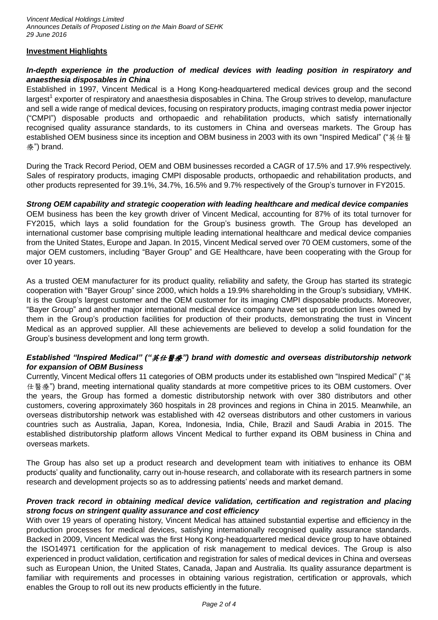#### **Investment Highlights**

over 10 years.

#### *In-depth experience in the production of medical devices with leading position in respiratory and anaesthesia disposables in China*

Established in 1997, Vincent Medical is a Hong Kong-headquartered medical devices group and the second largest<sup>1</sup> exporter of respiratory and anaesthesia disposables in China. The Group strives to develop, manufacture and sell a wide range of medical devices, focusing on respiratory products, imaging contrast media power injector ("CMPI") disposable products and orthopaedic and rehabilitation products, which satisfy internationally recognised quality assurance standards, to its customers in China and overseas markets. The Group has established OEM business since its inception and OBM business in 2003 with its own "Inspired Medical" ("英仕醫 療") brand.

During the Track Record Period, OEM and OBM businesses recorded a CAGR of 17.5% and 17.9% respectively. Sales of respiratory products, imaging CMPI disposable products, orthopaedic and rehabilitation products, and other products represented for 39.1%, 34.7%, 16.5% and 9.7% respectively of the Group's turnover in FY2015.

#### *Strong OEM capability and strategic cooperation with leading healthcare and medical device companies* OEM business has been the key growth driver of Vincent Medical, accounting for 87% of its total turnover for FY2015, which lays a solid foundation for the Group's business growth. The Group has developed an international customer base comprising multiple leading international healthcare and medical device companies from the United States, Europe and Japan. In 2015, Vincent Medical served over 70 OEM customers, some of the major OEM customers, including "Bayer Group" and GE Healthcare, have been cooperating with the Group for

As a trusted OEM manufacturer for its product quality, reliability and safety, the Group has started its strategic cooperation with "Bayer Group" since 2000, which holds a 19.9% shareholding in the Group's subsidiary, VMHK. It is the Group's largest customer and the OEM customer for its imaging CMPI disposable products. Moreover, "Bayer Group" and another major international medical device company have set up production lines owned by them in the Group's production facilities for production of their products, demonstrating the trust in Vincent Medical as an approved supplier. All these achievements are believed to develop a solid foundation for the Group's business development and long term growth.

#### *Established "Inspired Medical" ("*英仕醫療*") brand with domestic and overseas distributorship network for expansion of OBM Business*

Currently, Vincent Medical offers 11 categories of OBM products under its established own "Inspired Medical" ("英 仕醫療") brand, meeting international quality standards at more competitive prices to its OBM customers. Over the years, the Group has formed a domestic distributorship network with over 380 distributors and other customers, covering approximately 360 hospitals in 28 provinces and regions in China in 2015. Meanwhile, an overseas distributorship network was established with 42 overseas distributors and other customers in various countries such as Australia, Japan, Korea, Indonesia, India, Chile, Brazil and Saudi Arabia in 2015. The established distributorship platform allows Vincent Medical to further expand its OBM business in China and overseas markets.

The Group has also set up a product research and development team with initiatives to enhance its OBM products' quality and functionality, carry out in-house research, and collaborate with its research partners in some research and development projects so as to addressing patients' needs and market demand.

#### *Proven track record in obtaining medical device validation, certification and registration and placing strong focus on stringent quality assurance and cost efficiency*

With over 19 years of operating history, Vincent Medical has attained substantial expertise and efficiency in the production processes for medical devices, satisfying internationally recognised quality assurance standards. Backed in 2009, Vincent Medical was the first Hong Kong-headquartered medical device group to have obtained the ISO14971 certification for the application of risk management to medical devices. The Group is also experienced in product validation, certification and registration for sales of medical devices in China and overseas such as European Union, the United States, Canada, Japan and Australia. Its quality assurance department is familiar with requirements and processes in obtaining various registration, certification or approvals, which enables the Group to roll out its new products efficiently in the future.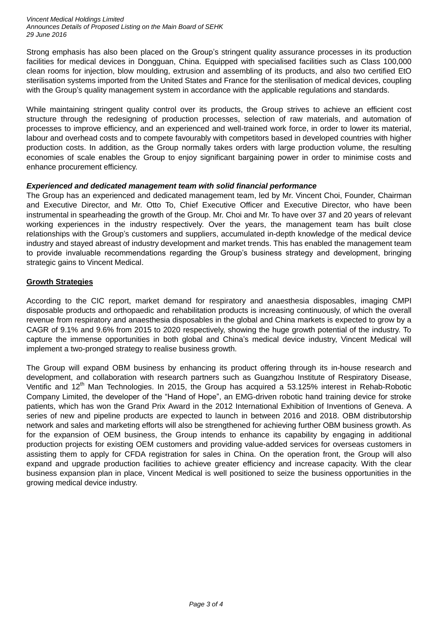*Vincent Medical Holdings Limited Announces Details of Proposed Listing on the Main Board of SEHK 29 June 2016*

Strong emphasis has also been placed on the Group's stringent quality assurance processes in its production facilities for medical devices in Dongguan, China. Equipped with specialised facilities such as Class 100,000 clean rooms for injection, blow moulding, extrusion and assembling of its products, and also two certified EtO sterilisation systems imported from the United States and France for the sterilisation of medical devices, coupling with the Group's quality management system in accordance with the applicable regulations and standards.

While maintaining stringent quality control over its products, the Group strives to achieve an efficient cost structure through the redesigning of production processes, selection of raw materials, and automation of processes to improve efficiency, and an experienced and well-trained work force, in order to lower its material, labour and overhead costs and to compete favourably with competitors based in developed countries with higher production costs. In addition, as the Group normally takes orders with large production volume, the resulting economies of scale enables the Group to enjoy significant bargaining power in order to minimise costs and enhance procurement efficiency.

#### *Experienced and dedicated management team with solid financial performance*

The Group has an experienced and dedicated management team, led by Mr. Vincent Choi, Founder, Chairman and Executive Director, and Mr. Otto To, Chief Executive Officer and Executive Director, who have been instrumental in spearheading the growth of the Group. Mr. Choi and Mr. To have over 37 and 20 years of relevant working experiences in the industry respectively. Over the years, the management team has built close relationships with the Group's customers and suppliers, accumulated in-depth knowledge of the medical device industry and stayed abreast of industry development and market trends. This has enabled the management team to provide invaluable recommendations regarding the Group's business strategy and development, bringing strategic gains to Vincent Medical.

#### **Growth Strategies**

According to the CIC report, market demand for respiratory and anaesthesia disposables, imaging CMPI disposable products and orthopaedic and rehabilitation products is increasing continuously, of which the overall revenue from respiratory and anaesthesia disposables in the global and China markets is expected to grow by a CAGR of 9.1% and 9.6% from 2015 to 2020 respectively, showing the huge growth potential of the industry. To capture the immense opportunities in both global and China's medical device industry, Vincent Medical will implement a two-pronged strategy to realise business growth.

The Group will expand OBM business by enhancing its product offering through its in-house research and development, and collaboration with research partners such as Guangzhou Institute of Respiratory Disease, Ventific and 12<sup>th</sup> Man Technologies. In 2015, the Group has acquired a 53.125% interest in Rehab-Robotic Company Limited, the developer of the "Hand of Hope", an EMG-driven robotic hand training device for stroke patients, which has won the Grand Prix Award in the 2012 International Exhibition of Inventions of Geneva. A series of new and pipeline products are expected to launch in between 2016 and 2018. OBM distributorship network and sales and marketing efforts will also be strengthened for achieving further OBM business growth. As for the expansion of OEM business, the Group intends to enhance its capability by engaging in additional production projects for existing OEM customers and providing value-added services for overseas customers in assisting them to apply for CFDA registration for sales in China. On the operation front, the Group will also expand and upgrade production facilities to achieve greater efficiency and increase capacity. With the clear business expansion plan in place, Vincent Medical is well positioned to seize the business opportunities in the growing medical device industry.